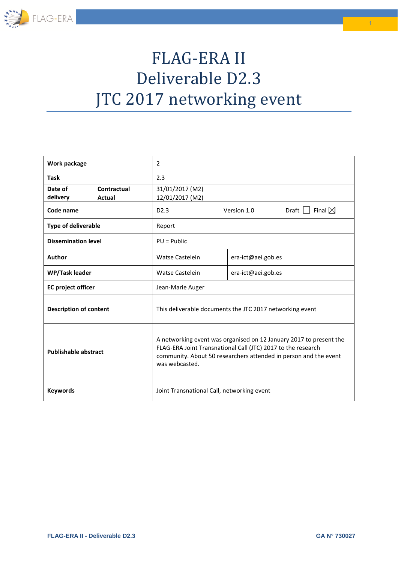

## FLAG-ERA II Deliverable D2.3 JTC 2017 networking event

| Work package                  |               | $\overline{2}$                                                                                                                                                                                                           |             |                    |                                |  |
|-------------------------------|---------------|--------------------------------------------------------------------------------------------------------------------------------------------------------------------------------------------------------------------------|-------------|--------------------|--------------------------------|--|
| <b>Task</b>                   |               | 2.3                                                                                                                                                                                                                      |             |                    |                                |  |
| Date of                       | Contractual   | 31/01/2017 (M2)                                                                                                                                                                                                          |             |                    |                                |  |
| delivery                      | <b>Actual</b> | 12/01/2017 (M2)                                                                                                                                                                                                          |             |                    |                                |  |
| Code name                     |               | D <sub>2.3</sub>                                                                                                                                                                                                         | Version 1.0 |                    | Draft $\Box$ Final $\boxtimes$ |  |
| <b>Type of deliverable</b>    |               | Report                                                                                                                                                                                                                   |             |                    |                                |  |
| <b>Dissemination level</b>    |               | $PU = Public$                                                                                                                                                                                                            |             |                    |                                |  |
| Author                        |               | <b>Watse Castelein</b>                                                                                                                                                                                                   |             | era-ict@aei.gob.es |                                |  |
| WP/Task leader                |               | Watse Castelein                                                                                                                                                                                                          |             | era-ict@aei.gob.es |                                |  |
| <b>EC</b> project officer     |               | Jean-Marie Auger                                                                                                                                                                                                         |             |                    |                                |  |
| <b>Description of content</b> |               | This deliverable documents the JTC 2017 networking event                                                                                                                                                                 |             |                    |                                |  |
| <b>Publishable abstract</b>   |               | A networking event was organised on 12 January 2017 to present the<br>FLAG-ERA Joint Transnational Call (JTC) 2017 to the research<br>community. About 50 researchers attended in person and the event<br>was webcasted. |             |                    |                                |  |
| <b>Keywords</b>               |               | Joint Transnational Call, networking event                                                                                                                                                                               |             |                    |                                |  |

1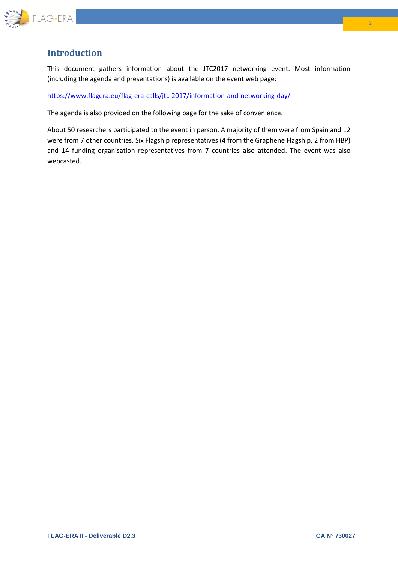

## **Introduction**

This document gathers information about the JTC2017 networking event. Most information (including the agenda and presentations) is available on the event web page:

<https://www.flagera.eu/flag-era-calls/jtc-2017/information-and-networking-day/>

The agenda is also provided on the following page for the sake of convenience.

About 50 researchers participated to the event in person. A majority of them were from Spain and 12 were from 7 other countries. Six Flagship representatives (4 from the Graphene Flagship, 2 from HBP) and 14 funding organisation representatives from 7 countries also attended. The event was also webcasted.

2